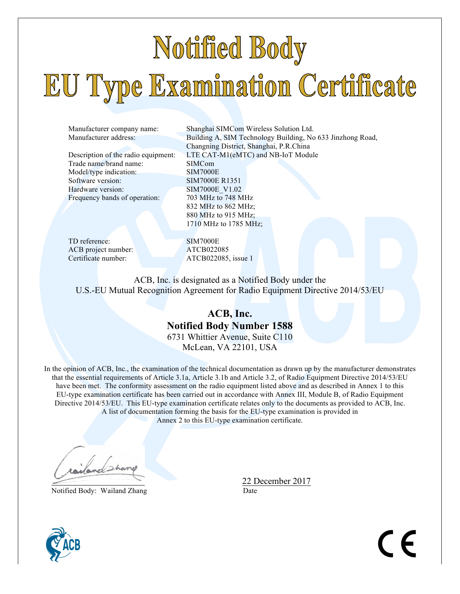# Notified Body EU Type Examination Certificate

Trade name/brand name: SIMCom Model/type indication: SIM7000E Software version: SIM7000E R1351 Hardware version: SIM7000E\_V1.02 Frequency bands of operation: 703 MHz to 748 MHz

Manufacturer company name: Shanghai SIMCom Wireless Solution Ltd. Manufacturer address: Building A, SIM Technology Building, No 633 Jinzhong Road, Changning District, Shanghai, P.R.China Description of the radio equipment: LTE CAT-M1(eMTC) and NB-IoT Module 832 MHz to 862 MHz; 880 MHz to 915 MHz; 1710 MHz to 1785 MHz;

TD reference: SIM7000E ACB project number: <br>
Certificate number: <br>
ATCB022085

ATCB022085, issue 1

ACB, Inc. is designated as a Notified Body under the U.S.-EU Mutual Recognition Agreement for Radio Equipment Directive 2014/53/EU

# **ACB, Inc. Notified Body Number 1588** 6731 Whittier Avenue, Suite C110 McLean, VA 22101, USA

In the opinion of ACB, Inc., the examination of the technical documentation as drawn up by the manufacturer demonstrates that the essential requirements of Article 3.1a, Article 3.1b and Article 3.2, of Radio Equipment Directive 2014/53/EU have been met. The conformity assessment on the radio equipment listed above and as described in Annex 1 to this EU-type examination certificate has been carried out in accordance with Annex III, Module B, of Radio Equipment Directive 2014/53/EU. This EU-type examination certificate relates only to the documents as provided to ACB, Inc. A list of documentation forming the basis for the EU-type examination is provided in Annex 2 to this EU-type examination certificate.

Notified Body: Wailand Zhang Date

22 December 2017



 $\epsilon$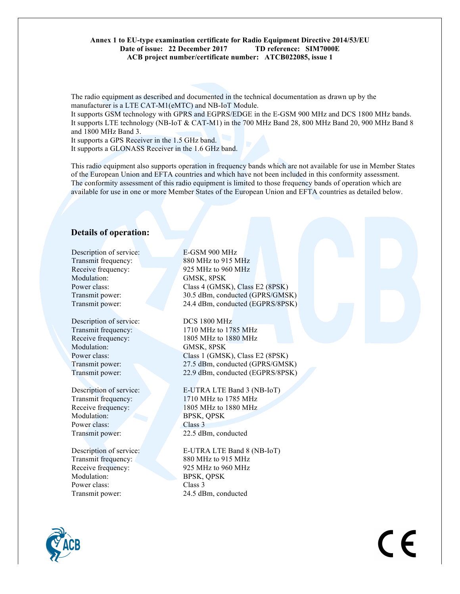#### **Annex 1 to EU-type examination certificate for Radio Equipment Directive 2014/53/EU Date of issue: 22 December 2017 TD reference: SIM7000E ACB project number/certificate number: ATCB022085, issue 1**

The radio equipment as described and documented in the technical documentation as drawn up by the manufacturer is a LTE CAT-M1(eMTC) and NB-IoT Module.

It supports GSM technology with GPRS and EGPRS/EDGE in the E-GSM 900 MHz and DCS 1800 MHz bands. It supports LTE technology (NB-IoT & CAT-M1) in the 700 MHz Band 28, 800 MHz Band 20, 900 MHz Band 8 and 1800 MHz Band 3.

It supports a GPS Receiver in the 1.5 GHz band.

It supports a GLONASS Receiver in the 1.6 GHz band.

This radio equipment also supports operation in frequency bands which are not available for use in Member States of the European Union and EFTA countries and which have not been included in this conformity assessment. The conformity assessment of this radio equipment is limited to those frequency bands of operation which are available for use in one or more Member States of the European Union and EFTA countries as detailed below.

# **Details of operation:**

Description of service: E-GSM 900 MHz Modulation: **GMSK, 8PSK** 

Description of service: DCS 1800 MHz Modulation: GMSK, 8PSK

Modulation: BPSK, QPSK Power class: Class 3

Modulation: BPSK, QPSK Power class: Class 3 Transmit power: 24.5 dBm, conducted

Transmit frequency: 880 MHz to 915 MHz Receive frequency: 925 MHz to 960 MHz Power class: Class 4 (GMSK), Class E2 (8PSK) Transmit power: 30.5 dBm, conducted (GPRS/GMSK) Transmit power: 24.4 dBm, conducted (EGPRS/8PSK)

Transmit frequency: 1710 MHz to 1785 MHz Receive frequency: 1805 MHz to 1880 MHz Power class: Class 1 (GMSK), Class E2 (8PSK) Transmit power: 27.5 dBm, conducted (GPRS/GMSK) Transmit power: 22.9 dBm, conducted (EGPRS/8PSK)

Description of service: E-UTRA LTE Band 3 (NB-IoT) Transmit frequency: 1710 MHz to 1785 MHz Receive frequency: 1805 MHz to 1880 MHz Transmit power: 22.5 dBm, conducted

Description of service: E-UTRA LTE Band 8 (NB-IoT) Transmit frequency: 880 MHz to 915 MHz Receive frequency: 925 MHz to 960 MHz



 $\epsilon$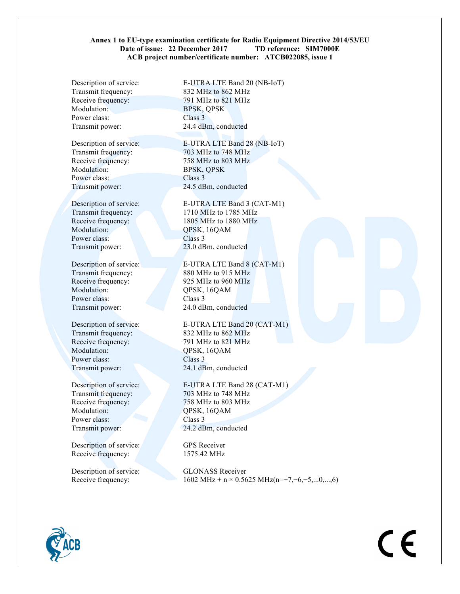#### **Annex 1 to EU-type examination certificate for Radio Equipment Directive 2014/53/EU Date of issue: 22 December 2017 TD reference: SIM7000E ACB project number/certificate number: ATCB022085, issue 1**

Transmit frequency: 832 MHz to 862 MHz Modulation: BPSK, OPSK Power class: Class 3 Transmit power: 24.4 dBm, conducted

Modulation: BPSK, QPSK Power class: Class 3 Transmit power: 24.5 dBm, conducted

Modulation: QPSK, 16QAM Power class: Class 3

Transmit frequency: 880 MHz to 915 MHz Receive frequency: 925 MHz to 960 MHz Modulation: QPSK, 16QAM Power class: Class 3 Transmit power: 24.0 dBm, conducted

Modulation: QPSK, 16QAM Power class: Class 3 Transmit power: 24.1 dBm, conducted

Modulation: QPSK, 16QAM Power class: Class 3 Transmit power: 24.2 dBm, conducted

Description of service: GPS Receiver Receive frequency: 1575.42 MHz

Description of service: GLONASS Receiver

Description of service: E-UTRA LTE Band 20 (NB-IoT) Receive frequency: 791 MHz to 821 MHz

Description of service: E-UTRA LTE Band 28 (NB-IoT) Transmit frequency: 703 MHz to 748 MHz Receive frequency: 758 MHz to 803 MHz

Description of service: E-UTRA LTE Band 3 (CAT-M1) Transmit frequency: 1710 MHz to 1785 MHz Receive frequency: 1805 MHz to 1880 MHz Transmit power: 23.0 dBm, conducted

Description of service: E-UTRA LTE Band 8 (CAT-M1)

Description of service: E-UTRA LTE Band 20 (CAT-M1) Transmit frequency: 832 MHz to 862 MHz Receive frequency: 791 MHz to 821 MHz

Description of service: E-UTRA LTE Band 28 (CAT-M1) Transmit frequency: 703 MHz to 748 MHz Receive frequency:  $758 \text{ MHz}$  to 803 MHz

Receive frequency:  $1602 \text{ MHz} + \text{n} \times 0.5625 \text{ MHz} (\text{n} = -7, -6, -5, \dots, 0, \dots, 6)$ 

 $\epsilon$ 

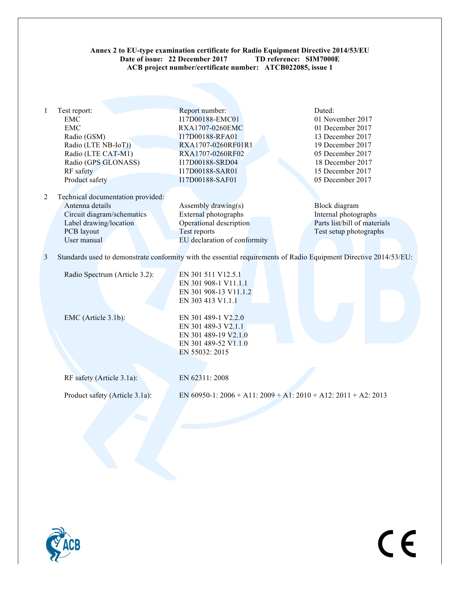# **Annex 2 to EU-type examination certificate for Radio Equipment Directive 2014/53/EU Date of issue: 22 December 2017 TD reference: SIM7000E ACB project number/certificate number: ATCB022085, issue 1**

|   | Test report:                      | Report number:                                                                                                    | Dated:                       |
|---|-----------------------------------|-------------------------------------------------------------------------------------------------------------------|------------------------------|
|   | EMC                               | I17D00188-EMC01                                                                                                   | 01 November 2017             |
|   | EMC                               | RXA1707-0260EMC                                                                                                   | 01 December 2017             |
|   | Radio (GSM)                       | I17D00188-RFA01                                                                                                   | 13 December 2017             |
|   | Radio (LTE NB-IoT))               | RXA1707-0260RF01R1                                                                                                | 19 December 2017             |
|   | Radio (LTE CAT-M1)                | RXA1707-0260RF02                                                                                                  | 05 December 2017             |
|   | Radio (GPS GLONASS)               | I17D00188-SRD04                                                                                                   | 18 December 2017             |
|   | RF safety                         | I17D00188-SAR01                                                                                                   | 15 December 2017             |
|   | Product safety                    | I17D00188-SAF01                                                                                                   | 05 December 2017             |
|   |                                   |                                                                                                                   |                              |
| 2 | Technical documentation provided: |                                                                                                                   |                              |
|   | Antenna details                   | Assembly drawing(s)                                                                                               | Block diagram                |
|   | Circuit diagram/schematics        | External photographs                                                                                              | Internal photographs         |
|   | Label drawing/location            | Operational description                                                                                           | Parts list/bill of materials |
|   | PCB layout                        | Test reports                                                                                                      | Test setup photographs       |
|   | User manual                       | EU declaration of conformity                                                                                      |                              |
|   |                                   |                                                                                                                   |                              |
| 3 |                                   | Standards used to demonstrate conformity with the essential requirements of Radio Equipment Directive 2014/53/EU: |                              |
|   |                                   |                                                                                                                   |                              |
|   | Radio Spectrum (Article 3.2):     | EN 301 511 V12.5.1                                                                                                |                              |
|   |                                   | EN 301 908-1 V11.1.1                                                                                              |                              |
|   |                                   | EN 301 908-13 V11.1.2                                                                                             |                              |
|   |                                   | EN 303 413 V1.1.1                                                                                                 |                              |

EMC (Article 3.1b): EN 301 489-1 V2.2.0 EN 301 489-3 V2.1.1 EN 301 489-19 V2.1.0 EN 301 489-52 V1.1.0 EN 55032: 2015

RF safety (Article 3.1a): EN 62311: 2008

Product safety (Article 3.1a): EN 60950-1: 2006 + A11: 2009 + A1: 2010 + A12: 2011 + A2: 2013

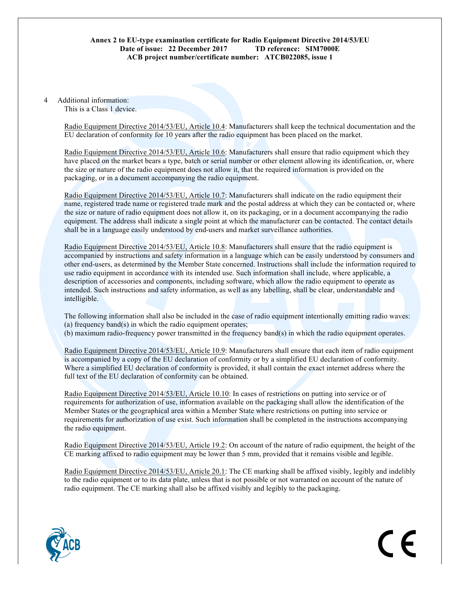# **Annex 2 to EU-type examination certificate for Radio Equipment Directive 2014/53/EU Date of issue: 22 December 2017 TD reference: SIM7000E ACB project number/certificate number: ATCB022085, issue 1**

#### 4 Additional information: This is a Class 1 device.

Radio Equipment Directive 2014/53/EU, Article 10.4: Manufacturers shall keep the technical documentation and the EU declaration of conformity for 10 years after the radio equipment has been placed on the market.

Radio Equipment Directive 2014/53/EU, Article 10.6: Manufacturers shall ensure that radio equipment which they have placed on the market bears a type, batch or serial number or other element allowing its identification, or, where the size or nature of the radio equipment does not allow it, that the required information is provided on the packaging, or in a document accompanying the radio equipment.

Radio Equipment Directive 2014/53/EU, Article 10.7: Manufacturers shall indicate on the radio equipment their name, registered trade name or registered trade mark and the postal address at which they can be contacted or, where the size or nature of radio equipment does not allow it, on its packaging, or in a document accompanying the radio equipment. The address shall indicate a single point at which the manufacturer can be contacted. The contact details shall be in a language easily understood by end-users and market surveillance authorities.

Radio Equipment Directive 2014/53/EU, Article 10.8: Manufacturers shall ensure that the radio equipment is accompanied by instructions and safety information in a language which can be easily understood by consumers and other end-users, as determined by the Member State concerned. Instructions shall include the information required to use radio equipment in accordance with its intended use. Such information shall include, where applicable, a description of accessories and components, including software, which allow the radio equipment to operate as intended. Such instructions and safety information, as well as any labelling, shall be clear, understandable and intelligible.

The following information shall also be included in the case of radio equipment intentionally emitting radio waves: (a) frequency band(s) in which the radio equipment operates; (b) maximum radio-frequency power transmitted in the frequency band(s) in which the radio equipment operates.

Radio Equipment Directive 2014/53/EU, Article 10.9: Manufacturers shall ensure that each item of radio equipment is accompanied by a copy of the EU declaration of conformity or by a simplified EU declaration of conformity. Where a simplified EU declaration of conformity is provided, it shall contain the exact internet address where the full text of the EU declaration of conformity can be obtained.

Radio Equipment Directive 2014/53/EU, Article 10.10: In cases of restrictions on putting into service or of requirements for authorization of use, information available on the packaging shall allow the identification of the Member States or the geographical area within a Member State where restrictions on putting into service or requirements for authorization of use exist. Such information shall be completed in the instructions accompanying the radio equipment.

Radio Equipment Directive 2014/53/EU, Article 19.2: On account of the nature of radio equipment, the height of the CE marking affixed to radio equipment may be lower than 5 mm, provided that it remains visible and legible.

Radio Equipment Directive 2014/53/EU, Article 20.1: The CE marking shall be affixed visibly, legibly and indelibly to the radio equipment or to its data plate, unless that is not possible or not warranted on account of the nature of radio equipment. The CE marking shall also be affixed visibly and legibly to the packaging.